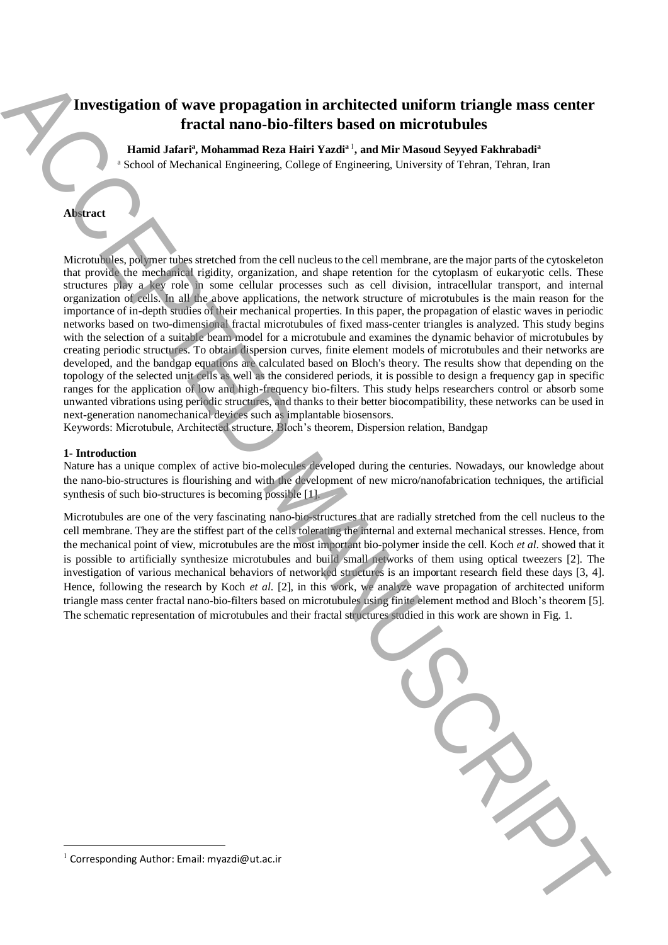# **Investigation of wave propagation in architected uniform triangle mass center fractal nano-bio-filters based on microtubules**

**Hamid Jafari<sup>a</sup> , Mohammad Reza Hairi Yazdi<sup>a</sup>**<sup>1</sup> **, and Mir Masoud Seyyed Fakhrabadi<sup>a</sup>**

<sup>a</sup> School of Mechanical Engineering, College of Engineering, University of Tehran, Tehran, Iran

## **Abstract**

Microtubules, polymer tubes stretched from the cell nucleus to the cell membrane, are the major parts of the cytoskeleton that provide the mechanical rigidity, organization, and shape retention for the cytoplasm of eukaryotic cells. These structures play a key role in some cellular processes such as cell division, intracellular transport, and internal organization of cells. In all the above applications, the network structure of microtubules is the main reason for the importance of in-depth studies of their mechanical properties. In this paper, the propagation of elastic waves in periodic networks based on two-dimensional fractal microtubules of fixed mass-center triangles is analyzed. This study begins with the selection of a suitable beam model for a microtubule and examines the dynamic behavior of microtubules by creating periodic structures. To obtain dispersion curves, finite element models of microtubules and their networks are developed, and the bandgap equations are calculated based on Bloch's theory. The results show that depending on the topology of the selected unit cells as well as the considered periods, it is possible to design a frequency gap in specific ranges for the application of low and high-frequency bio-filters. This study helps researchers control or absorb some unwanted vibrations using periodic structures, and thanks to their better biocompatibility, these networks can be used in next-generation nanomechanical devices such as implantable biosensors. The restriction of wave propagation in architected uniform triangle mass center<br>
1. Wand Jabier Moleman bin-Birist Waster Waster and On Wards Mayad Systems and Manuscript and Authorities<br>
1. Waster and the Corresponding A

Keywords: Microtubule, Architected structure, Bloch's theorem, Dispersion relation, Bandgap

### **1- Introduction**

Nature has a unique complex of active bio-molecules developed during the centuries. Nowadays, our knowledge about the nano-bio-structures is flourishing and with the development of new micro/nanofabrication techniques, the artificial synthesis of such bio-structures is becoming possible [1].

Microtubules are one of the very fascinating nano-bio-structures that are radially stretched from the cell nucleus to the cell membrane. They are the stiffest part of the cells tolerating the internal and external mechanical stresses. Hence, from the mechanical point of view, microtubules are the most important bio-polymer inside the cell. Koch *et al*. showed that it is possible to artificially synthesize microtubules and build small networks of them using optical tweezers [2]. The investigation of various mechanical behaviors of networked structures is an important research field these days [3, 4]. Hence, following the research by Koch *et al*. [2], in this work, we analyze wave propagation of architected uniform triangle mass center fractal nano-bio-filters based on microtubules using finite element method and Bloch's theorem [5]. The schematic representation of microtubules and their fractal structures studied in this work are shown in Fig. 1.



1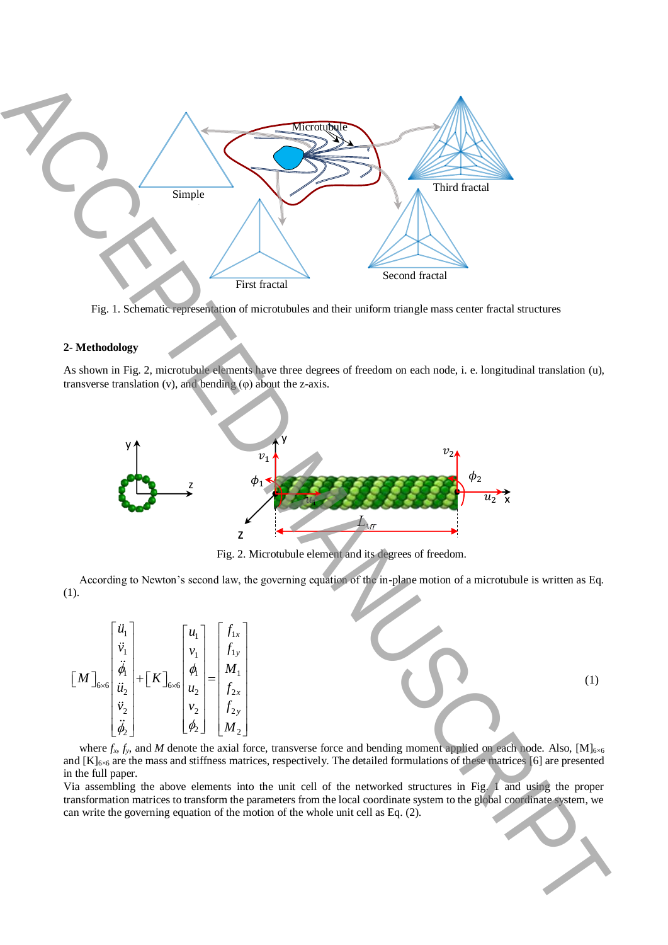

Fig. 1. Schematic representation of microtubules and their uniform triangle mass center fractal structures

### **2- Methodology**

As shown in Fig. 2, microtubule elements have three degrees of freedom on each node, i. e. longitudinal translation (u), transverse translation (v), and bending (φ) about the z-axis.



Fig. 2. Microtubule element and its degrees of freedom.

According to Newton's second law, the governing equation of the in-plane motion of a microtubule is written as Eq. (1).

$$
\begin{bmatrix} \ddot{u}_1 \\ \ddot{v}_1 \\ \ddot{\theta}_1 \\ \ddot{u}_2 \\ \ddot{v}_2 \\ \ddot{\phi}_2 \end{bmatrix} + \begin{bmatrix} K \end{bmatrix}_{6 \times 6} \begin{bmatrix} u_1 \\ v_1 \\ \phi_1 \\ u_2 \\ u_2 \\ \phi_2 \end{bmatrix} = \begin{bmatrix} f_{1x} \\ f_{1y} \\ M_1 \\ f_{2x} \\ f_{2y} \\ M_2 \end{bmatrix}
$$
 (1)

where  $f_x$ ,  $f_y$ , and *M* denote the axial force, transverse force and bending moment applied on each node. Also, [M]<sub>6×6</sub> and  $[K]_{6\times 6}$  are the mass and stiffness matrices, respectively. The detailed formulations of these matrices [6] are presented in the full paper.

Via assembling the above elements into the unit cell of the networked structures in Fig. 1 and using the proper transformation matrices to transform the parameters from the local coordinate system to the global coordinate system, we can write the governing equation of the motion of the whole unit cell as Eq. (2).

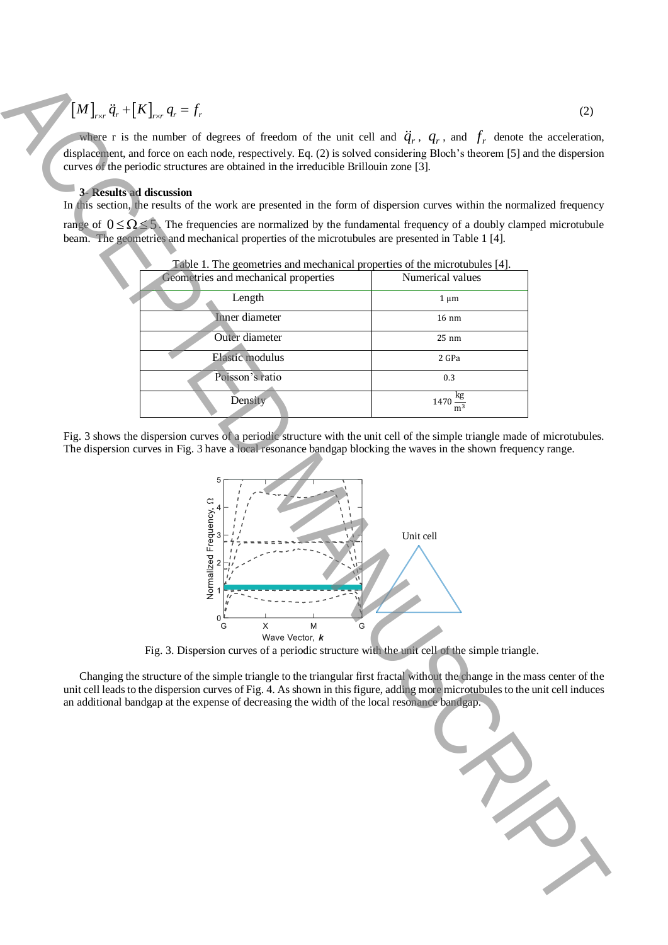# $\left[ M \right]_{r \times r} \ddot{q}_r + \left[ K \right]_{r \times r} q_r = f_r$

### **3- Results ad discussion**

| $[M]_{rx} \ddot{q}_r + [K]_{rx} q_r = f_r$                                                                                                                                                                                                                                                                                                                                                                                                                                                                                                                                                                                                                                       | (2)                                 |
|----------------------------------------------------------------------------------------------------------------------------------------------------------------------------------------------------------------------------------------------------------------------------------------------------------------------------------------------------------------------------------------------------------------------------------------------------------------------------------------------------------------------------------------------------------------------------------------------------------------------------------------------------------------------------------|-------------------------------------|
| where r is the number of degrees of freedom of the unit cell and $\ddot{q}_r$ , $q_r$ , and $f_r$ denote the acceleration,<br>displacement, and force on each node, respectively. Eq. (2) is solved considering Bloch's theorem [5] and the dispersion                                                                                                                                                                                                                                                                                                                                                                                                                           |                                     |
| curves of the periodic structures are obtained in the irreducible Brillouin zone [3].                                                                                                                                                                                                                                                                                                                                                                                                                                                                                                                                                                                            |                                     |
| <b>3- Results ad discussion</b><br>In this section, the results of the work are presented in the form of dispersion curves within the normalized frequency                                                                                                                                                                                                                                                                                                                                                                                                                                                                                                                       |                                     |
| range of $0 \le \Omega \le 5$ . The frequencies are normalized by the fundamental frequency of a doubly clamped microtubule<br>beam. The geometries and mechanical properties of the microtubules are presented in Table 1 [4].                                                                                                                                                                                                                                                                                                                                                                                                                                                  |                                     |
| Table 1. The geometries and mechanical properties of the microtubules [4].                                                                                                                                                                                                                                                                                                                                                                                                                                                                                                                                                                                                       |                                     |
| Geometries and mechanical properties                                                                                                                                                                                                                                                                                                                                                                                                                                                                                                                                                                                                                                             | Numerical values                    |
| Length                                                                                                                                                                                                                                                                                                                                                                                                                                                                                                                                                                                                                                                                           | $1 \mu m$                           |
| <b>Inner</b> diameter                                                                                                                                                                                                                                                                                                                                                                                                                                                                                                                                                                                                                                                            | $16 \text{ nm}$                     |
| Outer diameter                                                                                                                                                                                                                                                                                                                                                                                                                                                                                                                                                                                                                                                                   | 25 nm                               |
| <b>Elastic modulus</b>                                                                                                                                                                                                                                                                                                                                                                                                                                                                                                                                                                                                                                                           | 2 GPa                               |
| Poisson's ratio                                                                                                                                                                                                                                                                                                                                                                                                                                                                                                                                                                                                                                                                  | 0.3                                 |
|                                                                                                                                                                                                                                                                                                                                                                                                                                                                                                                                                                                                                                                                                  |                                     |
| Density                                                                                                                                                                                                                                                                                                                                                                                                                                                                                                                                                                                                                                                                          | $1470 \frac{\text{kg}}{\text{m}^3}$ |
| The dispersion curves in Fig. 3 have a local resonance bandgap blocking the waves in the shown frequency range.<br>alized Frequency, 2<br>Unit cell<br>Norm<br>$\mathbf 0$<br>X<br>M<br>G<br>G<br>Wave Vector, k<br>Fig. 3. Dispersion curves of a periodic structure with the unit cell of the simple triangle.<br>Changing the structure of the simple triangle to the triangular first fractal without the change in the mass center of the<br>unit cell leads to the dispersion curves of Fig. 4. As shown in this figure, adding more microtubules to the unit cell induces<br>an additional bandgap at the expense of decreasing the width of the local resonance bandgap. |                                     |
|                                                                                                                                                                                                                                                                                                                                                                                                                                                                                                                                                                                                                                                                                  |                                     |



Fig. 3. Dispersion curves of a periodic structure with the unit cell of the simple triangle.